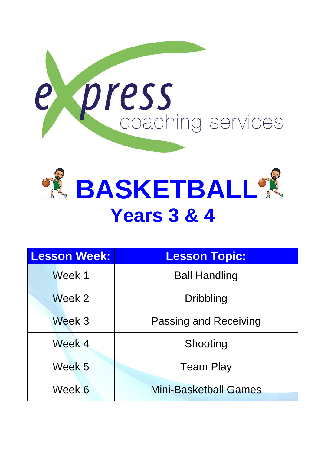



| <b>Lesson Week:</b> | <b>Lesson Topic:</b>         |
|---------------------|------------------------------|
| Week 1              | <b>Ball Handling</b>         |
| Week 2              | <b>Dribbling</b>             |
| Week 3              | Passing and Receiving        |
| Week 4              | Shooting                     |
| Week 5              | <b>Team Play</b>             |
| Week 6              | <b>Mini-Basketball Games</b> |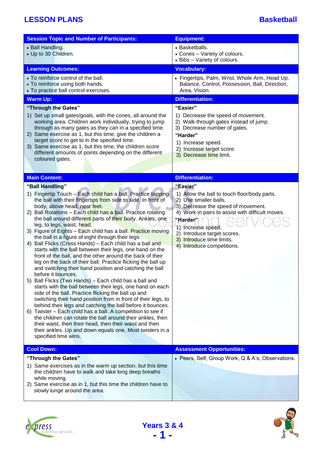| <b>Session Topic and Number of Participants:</b>                                                                           | <b>Equipment:</b>                                                                                |
|----------------------------------------------------------------------------------------------------------------------------|--------------------------------------------------------------------------------------------------|
| • Ball Handling.                                                                                                           | • Basketballs.                                                                                   |
| • Up to 30 Children.                                                                                                       | • Cones - Variety of colours.                                                                    |
|                                                                                                                            | • Bibs - Variety of colours.                                                                     |
| <b>Learning Outcomes:</b>                                                                                                  | <b>Vocabulary:</b>                                                                               |
| • To reinforce control of the ball.<br>• To reinforce using both hands.                                                    | • Fingertips, Palm, Wrist, Whole Arm, Head Up,<br>Balance, Control, Possession, Ball, Direction, |
| • To practice ball control exercises.                                                                                      | Area, Vision.                                                                                    |
| <b>Warm Up:</b>                                                                                                            | <b>Differentiation:</b>                                                                          |
| "Through the Gates"                                                                                                        | "Easier"                                                                                         |
| 1) Set up small gates/goals, with the cones, all around the                                                                | 1) Decrease the speed of movement.                                                               |
| working area. Children work individually, trying to jump                                                                   | 2) Walk through gates instead of jump.                                                           |
| through as many gates as they can in a specified time.<br>2) Same exercise as 1, but this time, give the children a        | 3) Decrease number of gates.<br>"Harder"                                                         |
| target score to get to in the specified time.                                                                              | 1) Increase speed.                                                                               |
| 3) Same exercise as 1, but this time, the children score                                                                   | 2) Increase target score.                                                                        |
| different amounts of points depending on the different<br>coloured gates.                                                  | 3) Decrease time limit.                                                                          |
|                                                                                                                            |                                                                                                  |
| <b>Main Content:</b>                                                                                                       | <b>Differentiation:</b>                                                                          |
| "Ball Handling"                                                                                                            | "Easier"                                                                                         |
| 1) Fingertip Touch - Each child has a ball. Practice tapping                                                               | 1) Allow the ball to touch floor/body parts.                                                     |
| the ball with their fingertips from side to side. In front of                                                              | 2) Use smaller balls.                                                                            |
| body, above head, near feet.                                                                                               | 3) Decrease the speed of movement.                                                               |
| 2) Ball Rotations - Each child has a ball. Practice rotating<br>the ball around different parts of their body. Ankles, one | 4) Work in pairs to assist with difficult moves.<br>"Harder"                                     |
| leg, to legs, waist, head.                                                                                                 | 1) Increase speed.                                                                               |
| 3) Figure of Eights - Each child has a ball. Practice moving                                                               | 2) Introduce target scores.                                                                      |
| the ball in a figure of eight through their legs.<br>Ball Flicks (Cross Hands) - Each child has a ball and<br>4)           | 3) Introduce time limits.                                                                        |
| starts with the ball between their legs, one hand on the                                                                   | 4) Introduce competitions.                                                                       |
| front of the ball, and the other around the back of their                                                                  |                                                                                                  |
| leg on the back of their ball. Practice flicking the ball up<br>and switching their hand position and catching the ball    |                                                                                                  |
| before it bounces.                                                                                                         |                                                                                                  |
| 5) Ball Flicks (Two Hands) – Each child has a ball and                                                                     |                                                                                                  |
| starts with the ball between their legs, one hand on each<br>side of the ball. Practice flicking the ball up and           |                                                                                                  |
| switching their hand position from in front of their legs, to                                                              |                                                                                                  |
| behind their legs and catching the ball before it bounces.                                                                 |                                                                                                  |
| 6) Twister - Each child has a ball. A competition to see if<br>the children can rotate the ball around their ankles, then  |                                                                                                  |
| their waist, then their head, then their waist and then                                                                    |                                                                                                  |
| their ankles. Up and down equals one. Most twisters in a                                                                   |                                                                                                  |
| specified time wins.                                                                                                       |                                                                                                  |
| <b>Cool Down:</b>                                                                                                          | <b>Assessment Opportunities:</b>                                                                 |
| "Through the Gates"                                                                                                        | • Peers, Self, Group Work, Q & A's, Observations.                                                |
| 1) Same exercises as in the warm up section, but this time                                                                 |                                                                                                  |
| the children have to walk and take long deep breaths<br>while moving.                                                      |                                                                                                  |
| 2) Same exercise as in 1, but this time the children have to                                                               |                                                                                                  |
| slowly lunge around the area.                                                                                              |                                                                                                  |
|                                                                                                                            |                                                                                                  |

**Years 3 & 4 - 1 -**



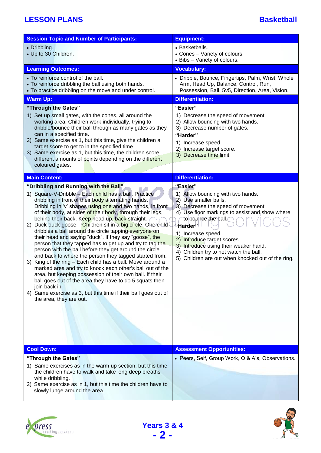| <b>Session Topic and Number of Participants:</b>                                                                                                                                                                                                                                                                                                                                                                                                                                                                                                                                                                                                                                                                                                                                                                                                                                                                                                                                                                                                                       | <b>Equipment:</b>                                                                                                                                                                                                                                                                                                                                                                                           |
|------------------------------------------------------------------------------------------------------------------------------------------------------------------------------------------------------------------------------------------------------------------------------------------------------------------------------------------------------------------------------------------------------------------------------------------------------------------------------------------------------------------------------------------------------------------------------------------------------------------------------------------------------------------------------------------------------------------------------------------------------------------------------------------------------------------------------------------------------------------------------------------------------------------------------------------------------------------------------------------------------------------------------------------------------------------------|-------------------------------------------------------------------------------------------------------------------------------------------------------------------------------------------------------------------------------------------------------------------------------------------------------------------------------------------------------------------------------------------------------------|
| • Dribbling.<br>• Up to 30 Children.                                                                                                                                                                                                                                                                                                                                                                                                                                                                                                                                                                                                                                                                                                                                                                                                                                                                                                                                                                                                                                   | • Basketballs.<br>• Cones - Variety of colours.<br>• Bibs - Variety of colours.                                                                                                                                                                                                                                                                                                                             |
| <b>Learning Outcomes:</b>                                                                                                                                                                                                                                                                                                                                                                                                                                                                                                                                                                                                                                                                                                                                                                                                                                                                                                                                                                                                                                              | <b>Vocabulary:</b>                                                                                                                                                                                                                                                                                                                                                                                          |
| • To reinforce control of the ball.<br>• To reinforce dribbling the ball using both hands.<br>• To practice dribbling on the move and under control.                                                                                                                                                                                                                                                                                                                                                                                                                                                                                                                                                                                                                                                                                                                                                                                                                                                                                                                   | • Dribble, Bounce, Fingertips, Palm, Wrist, Whole<br>Arm, Head Up, Balance, Control, Run,<br>Possession, Ball, 5v5, Direction, Area, Vision.                                                                                                                                                                                                                                                                |
| <b>Warm Up:</b>                                                                                                                                                                                                                                                                                                                                                                                                                                                                                                                                                                                                                                                                                                                                                                                                                                                                                                                                                                                                                                                        | <b>Differentiation:</b>                                                                                                                                                                                                                                                                                                                                                                                     |
| "Through the Gates"<br>1) Set up small gates, with the cones, all around the<br>working area. Children work individually, trying to<br>dribble/bounce their ball through as many gates as they<br>can in a specified time.<br>2) Same exercise as 1, but this time, give the children a<br>target score to get to in the specified time.<br>3) Same exercise as 1, but this time, the children score<br>different amounts of points depending on the different<br>coloured gates.                                                                                                                                                                                                                                                                                                                                                                                                                                                                                                                                                                                      | "Easier"<br>1) Decrease the speed of movement.<br>2) Allow bouncing with two hands.<br>3) Decrease number of gates.<br>"Harder"<br>1) Increase speed.<br>2) Increase target score.<br>3) Decrease time limit.                                                                                                                                                                                               |
| <b>Main Content:</b>                                                                                                                                                                                                                                                                                                                                                                                                                                                                                                                                                                                                                                                                                                                                                                                                                                                                                                                                                                                                                                                   | <b>Differentiation:</b>                                                                                                                                                                                                                                                                                                                                                                                     |
| "Dribbling and Running with the Ball"<br>1) Square-V-Dribble - Each child has a ball. Practice<br>dribbling in front of their body alternating hands.<br>Dribbling in 'v' shapes using one and two hands, in front<br>of their body, at sides of their body, through their legs,<br>behind their back. Keep head up, back straight.<br>2) Duck-duck-goose - Children sit in a big circle. One child<br>dribbles a ball around the circle tapping everyone on<br>their head and saying "duck". If they say "goose", the<br>person that they tapped has to get up and try to tag the<br>person with the ball before they get around the circle<br>and back to where the person they tagged started from.<br>3) King of the ring - Each child has a ball. Move around a<br>marked area and try to knock each other's ball out of the<br>area, but keeping possession of their own ball. If their<br>ball goes out of the area they have to do 5 squats then<br>join back in.<br>4) Same exercise as 3, but this time if their ball goes out of<br>the area, they are out. | "Easier"<br>1) Allow bouncing with two hands.<br>2) Use smaller balls.<br>3) Decrease the speed of movement.<br>4) Use floor markings to assist and show where<br>to bounce the ball.<br>"Harder" <sup>∣</sup><br>1) Increase speed.<br>2) Introduce target scores.<br>3) Introduce using their weaker hand.<br>4) Children try to not watch the ball.<br>5) Children are out when knocked out of the ring. |
| <b>Cool Down:</b>                                                                                                                                                                                                                                                                                                                                                                                                                                                                                                                                                                                                                                                                                                                                                                                                                                                                                                                                                                                                                                                      | <b>Assessment Opportunities:</b>                                                                                                                                                                                                                                                                                                                                                                            |
| "Through the Gates"<br>1) Same exercises as in the warm up section, but this time<br>the children have to walk and take long deep breaths<br>while dribbling.<br>2) Same exercise as in 1, but this time the children have to<br>slowly lunge around the area.                                                                                                                                                                                                                                                                                                                                                                                                                                                                                                                                                                                                                                                                                                                                                                                                         | • Peers, Self, Group Work, Q & A's, Observations.                                                                                                                                                                                                                                                                                                                                                           |





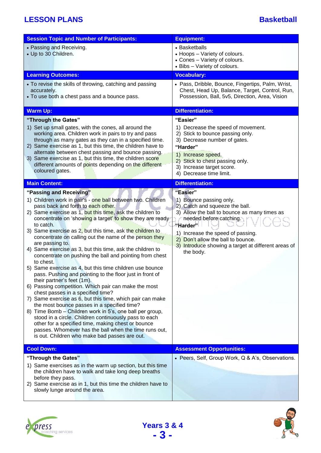| <b>Session Topic and Number of Participants:</b>                                                                                                                                                                                                                                                                                                                                                                                                                                                                                                                                                                                                                                                                                                                                                                                                                                                                                                                             | <b>Equipment:</b>                                                                                                                                                                                                                                                                                                        |
|------------------------------------------------------------------------------------------------------------------------------------------------------------------------------------------------------------------------------------------------------------------------------------------------------------------------------------------------------------------------------------------------------------------------------------------------------------------------------------------------------------------------------------------------------------------------------------------------------------------------------------------------------------------------------------------------------------------------------------------------------------------------------------------------------------------------------------------------------------------------------------------------------------------------------------------------------------------------------|--------------------------------------------------------------------------------------------------------------------------------------------------------------------------------------------------------------------------------------------------------------------------------------------------------------------------|
| • Passing and Receiving.<br>• Up to 30 Children.                                                                                                                                                                                                                                                                                                                                                                                                                                                                                                                                                                                                                                                                                                                                                                                                                                                                                                                             | • Basketballs<br>• Hoops - Variety of colours.<br>• Cones - Variety of colours.<br>• Bibs - Variety of colours.                                                                                                                                                                                                          |
| <b>Learning Outcomes:</b>                                                                                                                                                                                                                                                                                                                                                                                                                                                                                                                                                                                                                                                                                                                                                                                                                                                                                                                                                    | <b>Vocabulary:</b>                                                                                                                                                                                                                                                                                                       |
| • To revise the skills of throwing, catching and passing<br>accurately.<br>• To use both a chest pass and a bounce pass.                                                                                                                                                                                                                                                                                                                                                                                                                                                                                                                                                                                                                                                                                                                                                                                                                                                     | • Pass, Dribble, Bounce, Fingertips, Palm, Wrist,<br>Chest, Head Up, Balance, Target, Control, Run,<br>Possession, Ball, 5v5, Direction, Area, Vision                                                                                                                                                                    |
| <b>Warm Up:</b>                                                                                                                                                                                                                                                                                                                                                                                                                                                                                                                                                                                                                                                                                                                                                                                                                                                                                                                                                              | <b>Differentiation:</b>                                                                                                                                                                                                                                                                                                  |
| "Through the Gates"                                                                                                                                                                                                                                                                                                                                                                                                                                                                                                                                                                                                                                                                                                                                                                                                                                                                                                                                                          | "Easier"                                                                                                                                                                                                                                                                                                                 |
| 1) Set up small gates, with the cones, all around the<br>working area. Children work in pairs to try and pass<br>through as many gates as they can in a specified time.<br>2) Same exercise as 1, but this time, the children have to<br>alternate between chest passing and bounce passing.<br>3) Same exercise as 1, but this time, the children score<br>different amounts of points depending on the different<br>coloured gates.                                                                                                                                                                                                                                                                                                                                                                                                                                                                                                                                        | 1) Decrease the speed of movement.<br>2) Stick to bounce passing only.<br>3) Decrease number of gates.<br>"Harder"<br>1) Increase speed.<br>2) Stick to chest passing only.<br>3) Increase target score.<br>4) Decrease time limit.                                                                                      |
| <b>Main Content:</b>                                                                                                                                                                                                                                                                                                                                                                                                                                                                                                                                                                                                                                                                                                                                                                                                                                                                                                                                                         | <b>Differentiation:</b>                                                                                                                                                                                                                                                                                                  |
| "Passing and Receiving"<br>1) Children work in pair's - one ball between two. Children<br>pass back and forth to each other.<br>2) Same exercise as 1, but this time, ask the children to<br>concentrate on 'showing a target' to show they are ready<br>to catch.<br>3) Same exercise as 2, but this time, ask the children to<br>concentrate on calling out the name of the person they<br>are passing to.<br>4) Same exercise as 3, but this time, ask the children to<br>concentrate on pushing the ball and pointing from chest<br>to chest.<br>5) Same exercise as 4, but this time children use bounce<br>pass. Pushing and pointing to the floor just in front of<br>their partner's feet (1m).<br>6) Passing competition. Which pair can make the most<br>chest passes in a specified time?<br>7) Same exercise as 6, but this time, which pair can make<br>the most bounce passes in a specified time?<br>8) Time Bomb – Children work in 5's, one ball per group, | "Easier"<br>1) Bounce passing only.<br>2) Catch and squeeze the ball.<br>3) Allow the ball to bounce as many times as<br>needed before catching.<br>"Harder" <sup>।</sup><br>1) Increase the speed of passing.<br>2) Don't allow the ball to bounce.<br>3) Introduce showing a target at different areas of<br>the body. |
| stood in a circle. Children continuously pass to each<br>other for a specified time, making chest or bounce<br>passes. Whomever has the ball when the time runs out,<br>is out. Children who make bad passes are out.                                                                                                                                                                                                                                                                                                                                                                                                                                                                                                                                                                                                                                                                                                                                                        |                                                                                                                                                                                                                                                                                                                          |
| <b>Cool Down:</b>                                                                                                                                                                                                                                                                                                                                                                                                                                                                                                                                                                                                                                                                                                                                                                                                                                                                                                                                                            | <b>Assessment Opportunities:</b>                                                                                                                                                                                                                                                                                         |
| "Through the Gates"<br>1) Same exercises as in the warm up section, but this time<br>the children have to walk and take long deep breaths<br>before they pass.                                                                                                                                                                                                                                                                                                                                                                                                                                                                                                                                                                                                                                                                                                                                                                                                               | • Peers, Self, Group Work, Q & A's, Observations.                                                                                                                                                                                                                                                                        |
| 2) Same exercise as in 1, but this time the children have to<br>slowly lunge around the area.                                                                                                                                                                                                                                                                                                                                                                                                                                                                                                                                                                                                                                                                                                                                                                                                                                                                                |                                                                                                                                                                                                                                                                                                                          |





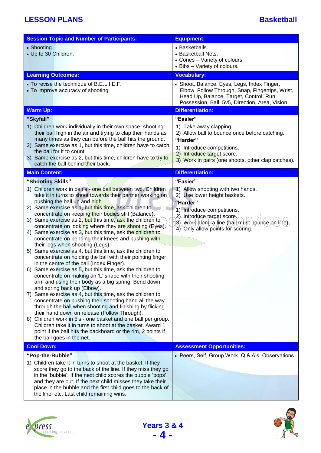| <b>Session Topic and Number of Participants:</b>                                                                                                                                                                                                                                                                                                                                                                                                                                                                                                                                                                                                                                                                                                                                                                                                                                                                                                                                                                                                                                                                                                                                                                                                                                                                                                                                                                                                      | <b>Equipment:</b>                                                                                                                                                                                                                              |
|-------------------------------------------------------------------------------------------------------------------------------------------------------------------------------------------------------------------------------------------------------------------------------------------------------------------------------------------------------------------------------------------------------------------------------------------------------------------------------------------------------------------------------------------------------------------------------------------------------------------------------------------------------------------------------------------------------------------------------------------------------------------------------------------------------------------------------------------------------------------------------------------------------------------------------------------------------------------------------------------------------------------------------------------------------------------------------------------------------------------------------------------------------------------------------------------------------------------------------------------------------------------------------------------------------------------------------------------------------------------------------------------------------------------------------------------------------|------------------------------------------------------------------------------------------------------------------------------------------------------------------------------------------------------------------------------------------------|
| • Shooting.<br>• Up to 30 Children.                                                                                                                                                                                                                                                                                                                                                                                                                                                                                                                                                                                                                                                                                                                                                                                                                                                                                                                                                                                                                                                                                                                                                                                                                                                                                                                                                                                                                   | • Basketballs.<br>• Basketball Nets.<br>• Cones - Variety of colours.<br>• Bibs - Variety of colours.                                                                                                                                          |
| <b>Learning Outcomes:</b>                                                                                                                                                                                                                                                                                                                                                                                                                                                                                                                                                                                                                                                                                                                                                                                                                                                                                                                                                                                                                                                                                                                                                                                                                                                                                                                                                                                                                             | <b>Vocabulary:</b>                                                                                                                                                                                                                             |
| • To revise the technique of B.E.L.I.E.F.<br>• To improve accuracy of shooting.                                                                                                                                                                                                                                                                                                                                                                                                                                                                                                                                                                                                                                                                                                                                                                                                                                                                                                                                                                                                                                                                                                                                                                                                                                                                                                                                                                       | • Shoot, Balance, Eyes, Legs, Index Finger,<br>Elbow, Follow Through, Snap, Fingertips, Wrist,<br>Head Up, Balance, Target, Control, Run,<br>Possession, Ball, 5v5, Direction, Area, Vision                                                    |
| <b>Warm Up:</b>                                                                                                                                                                                                                                                                                                                                                                                                                                                                                                                                                                                                                                                                                                                                                                                                                                                                                                                                                                                                                                                                                                                                                                                                                                                                                                                                                                                                                                       | <b>Differentiation:</b>                                                                                                                                                                                                                        |
| "Skyfall"<br>1) Children work individually in their own space, shooting<br>their ball high in the air and trying to clap their hands as<br>many times as they can before the ball hits the ground.<br>2) Same exercise as 1, but this time, children have to catch<br>the ball for it to count.<br>3) Same exercise as 2, but this time, children have to try to<br>catch the ball behind their back.                                                                                                                                                                                                                                                                                                                                                                                                                                                                                                                                                                                                                                                                                                                                                                                                                                                                                                                                                                                                                                                 | "Easier"<br>1) Take away clapping.<br>2) Allow ball to bounce once before catching.<br>"Harder"<br>1) Introduce competitions.<br>2) Introduce target score.<br>3) Work in pairs (one shoots, other clap catches).                              |
| <b>Main Content:</b>                                                                                                                                                                                                                                                                                                                                                                                                                                                                                                                                                                                                                                                                                                                                                                                                                                                                                                                                                                                                                                                                                                                                                                                                                                                                                                                                                                                                                                  | <b>Differentiation:</b>                                                                                                                                                                                                                        |
| "Shooting Skills"<br>1) Children work in pair's - one ball between two. Children<br>take it in turns to shoot towards their partner working on<br>pushing the ball up and high.<br>2) Same exercise as 1, but this time, ask children to<br>concentrate on keeping their bodies still (Balance).<br>3) Same exercise as 2, but this time, ask the children to<br>concentrate on looking where they are shooting (Eyes).<br>4) Same exercise as 3, but this time, ask the children to<br>concentrate on bending their knees and pushing with<br>their legs when shooting (Legs).<br>Same exercise as 4, but this time, ask the children to<br>5)<br>concentrate on holding the ball with their pointing finger<br>in the centre of the ball (Index Finger).<br>6) Same exercise as 5, but this time, ask the children to<br>concentrate on making an 'L' shape with their shooting<br>arm and using their body as a big spring. Bend down<br>and spring back up (Elbow).<br>Same exercise as 4, but this time, ask the children to<br>$\left( \right)$<br>concentrate on pushing their shooting hand all the way<br>through the ball when shooting and finishing by flicking<br>their hand down on release (Follow Through).<br>8) Children work in 5's - one basket and one ball per group.<br>Children take it in turns to shoot at the basket. Award 1<br>point if the ball hits the backboard or the rim, 2 points if<br>the ball goes in the net. | "Easier"<br>1) Allow shooting with two hands.<br>2) Use lower height baskets.<br>"Harder"<br>1) Introduce competitions.<br>2) Introduce target score.<br>3) Work along a line (ball must bounce on line).<br>4) Only allow points for scoring. |
| <b>Cool Down:</b>                                                                                                                                                                                                                                                                                                                                                                                                                                                                                                                                                                                                                                                                                                                                                                                                                                                                                                                                                                                                                                                                                                                                                                                                                                                                                                                                                                                                                                     | <b>Assessment Opportunities:</b>                                                                                                                                                                                                               |
| "Pop-the-Bubble"<br>1) Children take it in turns to shoot at the basket. If they<br>score they go to the back of the line. If they miss they go<br>in the 'bubble'. If the next child scores the bubble 'pops'<br>and they are out. If the next child misses they take their<br>place in the bubble and the first child goes to the back of<br>the line, etc. Last child remaining wins.                                                                                                                                                                                                                                                                                                                                                                                                                                                                                                                                                                                                                                                                                                                                                                                                                                                                                                                                                                                                                                                              | • Peers, Self, Group Work, Q & A's, Observations.                                                                                                                                                                                              |

**Years 3 & 4 - 4 -**





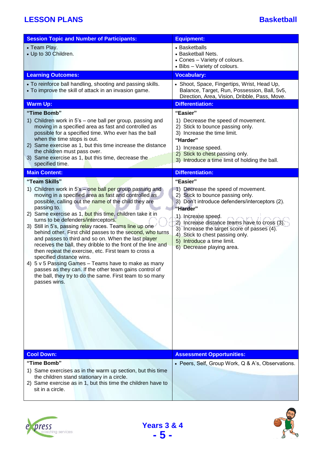| <b>Session Topic and Number of Participants:</b>                                                                                                                                                                                                                                                                                                                                                                                                                                                                                                                                                                                                                                                                                                                                                                                                                                                                                                                                                                                                                                                                                                                                                                                                                       | <b>Equipment:</b>                                                                                                                                                                                                                                                                                                                                                                                                                                                                                                                                                                                                                           |
|------------------------------------------------------------------------------------------------------------------------------------------------------------------------------------------------------------------------------------------------------------------------------------------------------------------------------------------------------------------------------------------------------------------------------------------------------------------------------------------------------------------------------------------------------------------------------------------------------------------------------------------------------------------------------------------------------------------------------------------------------------------------------------------------------------------------------------------------------------------------------------------------------------------------------------------------------------------------------------------------------------------------------------------------------------------------------------------------------------------------------------------------------------------------------------------------------------------------------------------------------------------------|---------------------------------------------------------------------------------------------------------------------------------------------------------------------------------------------------------------------------------------------------------------------------------------------------------------------------------------------------------------------------------------------------------------------------------------------------------------------------------------------------------------------------------------------------------------------------------------------------------------------------------------------|
| • Team Play.<br>• Up to 30 Children.                                                                                                                                                                                                                                                                                                                                                                                                                                                                                                                                                                                                                                                                                                                                                                                                                                                                                                                                                                                                                                                                                                                                                                                                                                   | • Basketballs<br>• Basketball Nets.<br>• Cones - Variety of colours.<br>• Bibs - Variety of colours.                                                                                                                                                                                                                                                                                                                                                                                                                                                                                                                                        |
| <b>Learning Outcomes:</b>                                                                                                                                                                                                                                                                                                                                                                                                                                                                                                                                                                                                                                                                                                                                                                                                                                                                                                                                                                                                                                                                                                                                                                                                                                              | <b>Vocabulary:</b>                                                                                                                                                                                                                                                                                                                                                                                                                                                                                                                                                                                                                          |
| • To reinforce ball handling, shooting and passing skills.<br>• To improve the skill of attack in an invasion game.                                                                                                                                                                                                                                                                                                                                                                                                                                                                                                                                                                                                                                                                                                                                                                                                                                                                                                                                                                                                                                                                                                                                                    | • Shoot, Space, Fingertips, Wrist, Head Up,<br>Balance, Target, Run, Possession, Ball, 5v5,<br>Direction, Area, Vision, Dribble, Pass, Move.                                                                                                                                                                                                                                                                                                                                                                                                                                                                                                |
| <b>Warm Up:</b>                                                                                                                                                                                                                                                                                                                                                                                                                                                                                                                                                                                                                                                                                                                                                                                                                                                                                                                                                                                                                                                                                                                                                                                                                                                        | <b>Differentiation:</b>                                                                                                                                                                                                                                                                                                                                                                                                                                                                                                                                                                                                                     |
| "Time Bomb"<br>1) Children work in 5's – one ball per group, passing and<br>moving in a specified area as fast and controlled as<br>possible for a specified time. Who ever has the ball<br>when the time stops is out.<br>2) Same exercise as 1, but this time increase the distance<br>the children must pass over.<br>3) Same exercise as 1, but this time, decrease the<br>specified time.<br><b>Main Content:</b><br>"Team Skills"<br>1) Children work in 5's – one ball per group passing and<br>moving in a specified area as fast and controlled as<br>possible, calling out the name of the child they are<br>passing to.<br>2) Same exercise as 1, but this time, children take it in<br>turns to be defenders/interceptors.<br>3) Still in 5's, passing relay races. Teams line up one<br>behind other. First child passes to the second, who turns<br>and passes to third and so on. When the last player<br>receives the ball, they dribble to the front of the line and<br>then repeat the exercise, etc. First team to cross a<br>specified distance wins.<br>4) 5 v 5 Passing Games - Teams have to make as many<br>passes as they can. If the other team gains control of<br>the ball, they try to do the same. First team to so many<br>passes wins. | "Easier"<br>1) Decrease the speed of movement.<br>2) Stick to bounce passing only.<br>3) Increase the time limit.<br>"Harder"<br>1) Increase speed.<br>2) Stick to chest passing only.<br>3) Introduce a time limit of holding the ball.<br><b>Differentiation:</b><br>"Easier"<br>1) Decrease the speed of movement.<br>2) Stick to bounce passing only.<br>3) Don't introduce defenders/interceptors (2).<br>"Harder"<br>1) Increase speed.<br>2) Increase distance teams have to cross (3).<br>3) Increase the target score of passes (4).<br>4) Stick to chest passing only.<br>5) Introduce a time limit.<br>6) Decrease playing area. |
|                                                                                                                                                                                                                                                                                                                                                                                                                                                                                                                                                                                                                                                                                                                                                                                                                                                                                                                                                                                                                                                                                                                                                                                                                                                                        |                                                                                                                                                                                                                                                                                                                                                                                                                                                                                                                                                                                                                                             |
| <b>Cool Down:</b>                                                                                                                                                                                                                                                                                                                                                                                                                                                                                                                                                                                                                                                                                                                                                                                                                                                                                                                                                                                                                                                                                                                                                                                                                                                      | <b>Assessment Opportunities:</b>                                                                                                                                                                                                                                                                                                                                                                                                                                                                                                                                                                                                            |
| "Time Bomb"<br>1) Same exercises as in the warm up section, but this time<br>the children stand stationary in a circle.<br>2) Same exercise as in 1, but this time the children have to<br>sit in a circle.                                                                                                                                                                                                                                                                                                                                                                                                                                                                                                                                                                                                                                                                                                                                                                                                                                                                                                                                                                                                                                                            | • Peers, Self, Group Work, Q & A's, Observations.                                                                                                                                                                                                                                                                                                                                                                                                                                                                                                                                                                                           |

**Years 3 & 4 - 5 -**